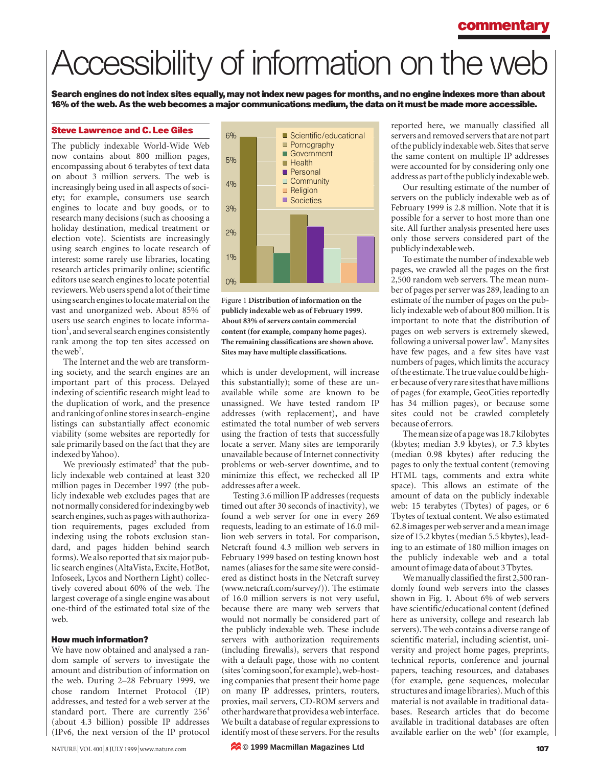# Accessibility of information on the web

**Search engines do not index sites equally, may not index new pages for months, and no engine indexes more than about 16% of the web. As the web becomes a major communications medium, the data on it must be made more accessible.**

### **Steve Lawrence and C. Lee Giles**

The publicly indexable World-Wide Web now contains about 800 million pages, encompassing about 6 terabytes of text data on about 3 million servers. The web is increasingly being used in all aspects of society; for example, consumers use search engines to locate and buy goods, or to research many decisions (such as choosing a holiday destination, medical treatment or election vote). Scientists are increasingly using search engines to locate research of interest: some rarely use libraries, locating research articles primarily online; scientific editors use search engines to locate potential reviewers. Web users spend a lot of their time using search engines to locate material on the vast and unorganized web. About 85% of users use search engines to locate information<sup>1</sup>, and several search engines consistently rank among the top ten sites accessed on the web<sup>2</sup>.

The Internet and the web are transforming society, and the search engines are an important part of this process. Delayed indexing of scientific research might lead to the duplication of work, and the presence and ranking of online stores in search-engine listings can substantially affect economic viability (some websites are reportedly for sale primarily based on the fact that they are indexed by Yahoo).

We previously estimated<sup>3</sup> that the publicly indexable web contained at least 320 million pages in December 1997 (the publicly indexable web excludes pages that are not normally considered for indexing by web search engines, such as pages with authorization requirements, pages excluded from indexing using the robots exclusion standard, and pages hidden behind search forms). We also reported that six major public search engines (AltaVista, Excite, HotBot, Infoseek, Lycos and Northern Light) collectively covered about 60% of the web. The largest coverage of a single engine was about one-third of the estimated total size of the web.

#### **How much information?**

We have now obtained and analysed a random sample of servers to investigate the amount and distribution of information on the web. During 2–28 February 1999, we chose random Internet Protocol (IP) addresses, and tested for a web server at the standard port. There are currently 256<sup>4</sup> (about 4.3 billion) possible IP addresses (IPv6, the next version of the IP protocol



Figure 1 **Distribution of information on the publicly indexable web as of February 1999. About 83% of servers contain commercial content (for example, company home pages). The remaining classifications are shown above. Sites may have multiple classifications.**

which is under development, will increase this substantially); some of these are unavailable while some are known to be unassigned. We have tested random IP addresses (with replacement), and have estimated the total number of web servers using the fraction of tests that successfully locate a server. Many sites are temporarily unavailable because of Internet connectivity problems or web-server downtime, and to minimize this effect, we rechecked all IP addresses after a week.

Testing 3.6 million IP addresses (requests timed out after 30 seconds of inactivity), we found a web server for one in every 269 requests, leading to an estimate of 16.0 million web servers in total. For comparison, Netcraft found 4.3 million web servers in February 1999 based on testing known host names (aliases for the same site were considered as distinct hosts in the Netcraft survey (www.netcraft.com/survey/)). The estimate of 16.0 million servers is not very useful, because there are many web servers that would not normally be considered part of the publicly indexable web. These include servers with authorization requirements (including firewalls), servers that respond with a default page, those with no content (sites 'coming soon', for example), web-hosting companies that present their home page on many IP addresses, printers, routers, proxies, mail servers, CD-ROM servers and other hardware that provides a web interface. We built a database of regular expressions to identify most of these servers. For the results

reported here, we manually classified all servers and removed servers that are not part of the publicly indexable web. Sites that serve the same content on multiple IP addresses were accounted for by considering only one address as part of the publicly indexable web.

Our resulting estimate of the number of servers on the publicly indexable web as of February 1999 is 2.8 million. Note that it is possible for a server to host more than one site. All further analysis presented here uses only those servers considered part of the publicly indexable web.

To estimate the number of indexable web pages, we crawled all the pages on the first 2,500 random web servers. The mean number of pages per server was 289, leading to an estimate of the number of pages on the publicly indexable web of about 800 million. It is important to note that the distribution of pages on web servers is extremely skewed, following a universal power law<sup>4</sup>. Many sites have few pages, and a few sites have vast numbers of pages, which limits the accuracy of the estimate. The true value could be higher because of very rare sites that have millions of pages (for example, GeoCities reportedly has 34 million pages), or because some sites could not be crawled completely because of errors.

The mean size of a page was 18.7 kilobytes (kbytes; median 3.9 kbytes), or 7.3 kbytes (median 0.98 kbytes) after reducing the pages to only the textual content (removing HTML tags, comments and extra white space). This allows an estimate of the amount of data on the publicly indexable web: 15 terabytes (Tbytes) of pages, or 6 Tbytes of textual content. We also estimated 62.8 images per web server and a mean image size of 15.2 kbytes (median 5.5 kbytes), leading to an estimate of 180 million images on the publicly indexable web and a total amount of image data of about 3 Tbytes.

We manually classified the first 2,500 randomly found web servers into the classes shown in Fig. 1. About 6% of web servers have scientific/educational content (defined here as university, college and research lab servers). The web contains a diverse range of scientific material, including scientist, university and project home pages, preprints, technical reports, conference and journal papers, teaching resources, and databases (for example, gene sequences, molecular structures and image libraries). Much of this material is not available in traditional databases. Research articles that do become available in traditional databases are often available earlier on the web<sup>5</sup> (for example,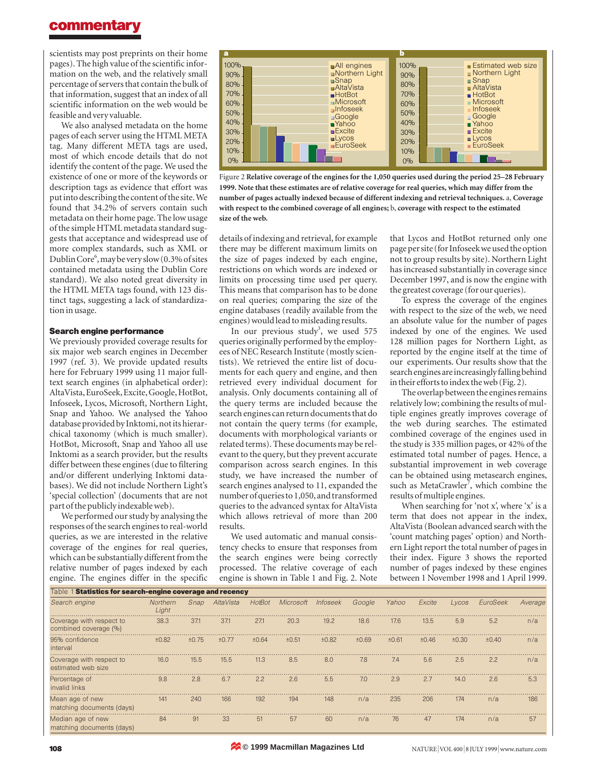## **commentary**

scientists may post preprints on their home pages). The high value of the scientific information on the web, and the relatively small percentage of servers that contain the bulk of that information, suggest that an index of all scientific information on the web would be feasible and very valuable.

We also analysed metadata on the home pages of each server using the HTML META tag. Many different META tags are used, most of which encode details that do not identify the content of the page. We used the existence of one or more of the keywords or description tags as evidence that effort was put into describing the content of the site. We found that 34.2% of servers contain such metadata on their home page. The low usage of the simple HTML metadata standard suggests that acceptance and widespread use of more complex standards, such as XML or Dublin Core 6 , may be very slow (0.3% of sites contained metadata using the Dublin Core standard). We also noted great diversity in the HTML META tags found, with 123 distinct tags, suggesting a lack of standardization in usage.

### **Search engine performance**

We previously provided coverage results for six major web search engines in December 1997 (ref. 3). We provide updated results here for February 1999 using 11 major fulltext search engines (in alphabetical order): AltaVista, EuroSeek, Excite, Google, HotBot, Infoseek, Lycos, Microsoft, Northern Light, Snap and Yahoo. We analysed the Yahoo database provided by Inktomi, not its hierarchical taxonomy (which is much smaller). HotBot, Microsoft, Snap and Yahoo all use Inktomi as a search provider, but the results differ between these engines (due to filtering and/or different underlying Inktomi databases). We did not include Northern Light's 'special collection' (documents that are not part of the publicly indexable web).

We performed our study by analysing the responses of the search engines to real-world queries, as we are interested in the relative coverage of the engines for real queries, which can be substantially different from the relative number of pages indexed by each engine. The engines differ in the specific



Figure 2 **Relative coverage of the engines for the 1,050 queries used during the period 25–28 February 1999. Note that these estimates are of relative coverage for real queries, which may differ from the number of pages actually indexed because of different indexing and retrieval techniques.** a, **Coverage with respect to the combined coverage of all engines;** b, **coverage with respect to the estimated size of the web.**

details of indexing and retrieval, for example there may be different maximum limits on the size of pages indexed by each engine, restrictions on which words are indexed or limits on processing time used per query. This means that comparison has to be done on real queries; comparing the size of the engine databases (readily available from the engines) would lead to misleading results.

In our previous study<sup>3</sup>, we used 575 queries originally performed by the employees of NEC Research Institute (mostly scientists). We retrieved the entire list of documents for each query and engine, and then retrieved every individual document for analysis. Only documents containing all of the query terms are included because the search engines can return documents that do not contain the query terms (for example, documents with morphological variants or related terms). These documents may be relevant to the query, but they prevent accurate comparison across search engines. In this study, we have increased the number of search engines analysed to 11, expanded the number of queries to 1,050, and transformed queries to the advanced syntax for AltaVista which allows retrieval of more than 200 results.

We used automatic and manual consistency checks to ensure that responses from the search engines were being correctly processed. The relative coverage of each engine is shown in Table 1 and Fig. 2. Note that Lycos and HotBot returned only one page per site (for Infoseek we used the option not to group results by site). Northern Light has increased substantially in coverage since December 1997, and is now the engine with the greatest coverage (for our queries).

To express the coverage of the engines with respect to the size of the web, we need an absolute value for the number of pages indexed by one of the engines. We used 128 million pages for Northern Light, as reported by the engine itself at the time of our experiments. Our results show that the search engines are increasingly falling behind in their efforts to index the web (Fig. 2).

The overlap between the engines remains relatively low; combining the results of multiple engines greatly improves coverage of the web during searches. The estimated combined coverage of the engines used in the study is 335 million pages, or 42% of the estimated total number of pages. Hence, a substantial improvement in web coverage can be obtained using metasearch engines, such as MetaCrawler 7 , which combine the results of multiple engines.

When searching for 'not x', where  $x'$  is a term that does not appear in the index, AltaVista (Boolean advanced search with the 'count matching pages' option) and Northern Light report the total number of pages in their index. Figure 3 shows the reported number of pages indexed by these engines between 1 November 1998 and 1 April 1999.

| Table 1 Statistics for search-engine coverage and recency |                          |       |           |        |           |          |        |       |        |       |          |         |
|-----------------------------------------------------------|--------------------------|-------|-----------|--------|-----------|----------|--------|-------|--------|-------|----------|---------|
| Search engine                                             | <b>Northern</b><br>Light | Snap  | AltaVista | HotBot | Microsoft | Infoseek | Google | Yahoo | Excite | Lycos | EuroSeek | Average |
| Coverage with respect to<br>combined coverage (%)         | 38.3                     | 37.1  | 37.1      | 27.1   | 20.3      | 19.2     | 18.6   | 17.6  | 13.5   | 5.9   | 5.2      | n/a     |
| 95% confidence<br>interval                                | ±0.82                    | ±0.75 | ±0.77     | ±0.64  | ±0.51     | ±0.82    | ±0.69  | ±0.61 | ±0.46  | ±0.30 | ±0.40    | n/a     |
| Coverage with respect to<br>estimated web size            | 16.0                     | 15.5  | 15.5      | 11.3   | 8.5       | 8.0      | 7.8    | 7.4   | 5.6    | 2.5   | 2.2      | n/a     |
| Percentage of<br>invalid links                            | 9.8                      | 2.8   | 6.7       | 2.2    | 2.6       | 5.5      | 7.0    | 2.9   | 2.7    | 14.0  | 2.6      | 5.3     |
| Mean age of new<br>matching documents (days)              | 141                      | 240   | 166       | 192    | 194       | 148      | n/a    | 235   | 206    | 174   | n/a      | 186     |
| Median age of new<br>matching documents (days)            | 84                       | 91    | 33        | 51     | 57        | 60       | n/a    | 76    | 47     | 174   | n/a      | 57      |